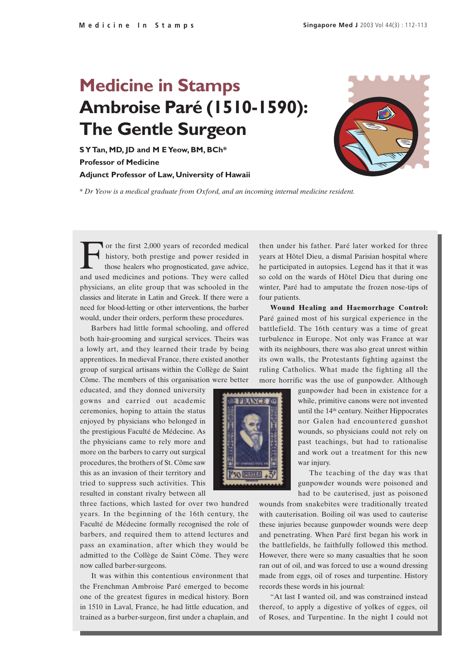## **Medicine in Stamps Ambroise Paré (1510-1590): The Gentle Surgeon**

**S Y Tan, MD, JD and M E Yeow, BM, BCh\* Professor of Medicine Adjunct Professor of Law, University of Hawaii**



*\* Dr Yeow is a medical graduate from Oxford, and an incoming internal medicine resident.*

For the first 2,000 years of recorded medical<br>history, both prestige and power resided in<br>those healers who prognosticated, gave advice,<br>and used medicines and potions. They were called history, both prestige and power resided in those healers who prognosticated, gave advice, and used medicines and potions. They were called physicians, an elite group that was schooled in the classics and literate in Latin and Greek. If there were a need for blood-letting or other interventions, the barber would, under their orders, perform these procedures.

Barbers had little formal schooling, and offered both hair-grooming and surgical services. Theirs was a lowly art, and they learned their trade by being apprentices. In medieval France, there existed another group of surgical artisans within the Collège de Saint Côme. The members of this organisation were better

educated, and they donned university gowns and carried out academic ceremonies, hoping to attain the status enjoyed by physicians who belonged in the prestigious Faculté de Médecine. As the physicians came to rely more and more on the barbers to carry out surgical procedures, the brothers of St. Côme saw this as an invasion of their territory and tried to suppress such activities. This resulted in constant rivalry between all

three factions, which lasted for over two hundred years. In the beginning of the 16th century, the Faculté de Médecine formally recognised the role of barbers, and required them to attend lectures and pass an examination, after which they would be admitted to the Collège de Saint Côme. They were now called barber-surgeons.

It was within this contentious environment that the Frenchman Ambroise Paré emerged to become one of the greatest figures in medical history. Born in 1510 in Laval, France, he had little education, and trained as a barber-surgeon, first under a chaplain, and then under his father. Paré later worked for three years at Hôtel Dieu, a dismal Parisian hospital where he participated in autopsies. Legend has it that it was so cold on the wards of Hôtel Dieu that during one winter, Paré had to amputate the frozen nose-tips of four patients.

**Wound Healing and Haemorrhage Control:** Paré gained most of his surgical experience in the battlefield. The 16th century was a time of great turbulence in Europe. Not only was France at war with its neighbours, there was also great unrest within its own walls, the Protestants fighting against the ruling Catholics. What made the fighting all the more horrific was the use of gunpowder. Although



gunpowder had been in existence for a while, primitive canons were not invented until the 14<sup>th</sup> century. Neither Hippocrates nor Galen had encountered gunshot wounds, so physicians could not rely on past teachings, but had to rationalise and work out a treatment for this new war injury.

The teaching of the day was that gunpowder wounds were poisoned and had to be cauterised, just as poisoned

wounds from snakebites were traditionally treated with cauterisation. Boiling oil was used to cauterise these injuries because gunpowder wounds were deep and penetrating. When Paré first began his work in the battlefields, he faithfully followed this method. However, there were so many casualties that he soon ran out of oil, and was forced to use a wound dressing made from eggs, oil of roses and turpentine. History records these words in his journal:

"At last I wanted oil, and was constrained instead thereof, to apply a digestive of yolkes of egges, oil of Roses, and Turpentine. In the night I could not